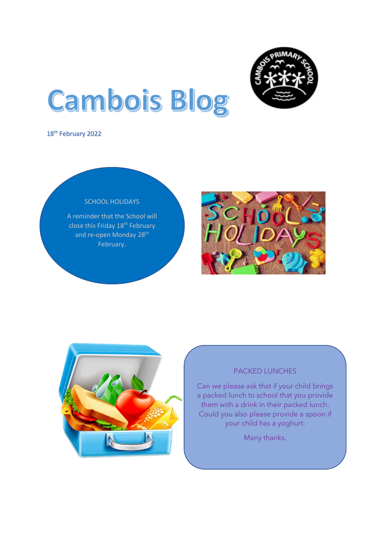

# **Cambois Blog**

18<sup>th</sup> February 2022



A reminder that the School will close this Friday 18<sup>th</sup> February and re-open Monday 28<sup>th</sup> February.





# PACKED LUNCHES

Can we please ask that if your child brings a packed lunch to school that you provide them with a drink in their packed lunch. Could you also please provide a spoon if your child has a yoghurt.

Many thanks.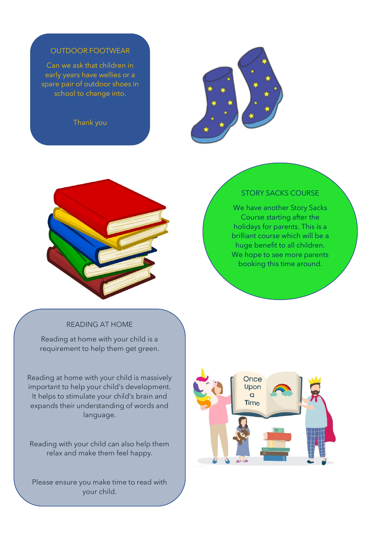## OUTDOOR FOOTWEAR

Can we ask that children in early years have wellies or a spare pair of outdoor shoes in school to change into.

Thank you

l





## STORY SACKS COURSE

We have another Story Sacks Course starting after the holidays for parents. This is a brilliant course which will be a huge benefit to all children. We hope to see more parents booking this time around.

# READING AT HOME

Reading at home with your child is a requirement to help them get green.

Reading at home with your child is massively important to help your child's development. It helps to stimulate your child's brain and expands their understanding of words and language.

Reading with your child can also help them relax and make them feel happy.

Please ensure you make time to read with your child.